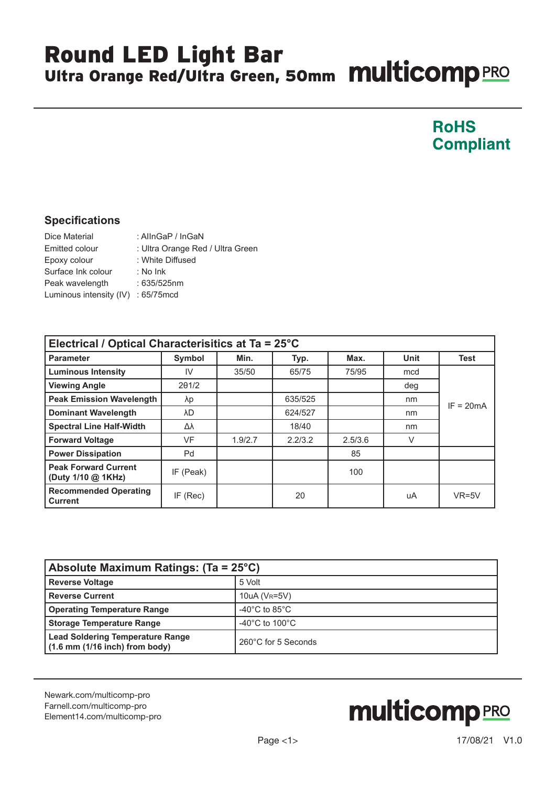## Round LED Light Bar Ultra Orange Red/Ultra Green, 50mm **Multicomp** PRO

#### **RoHS Compliant**

#### **Specifications**

| Dice Material                       | : AllnGaP / InGaN                |
|-------------------------------------|----------------------------------|
| Emitted colour                      | : Ultra Orange Red / Ultra Green |
| Epoxy colour                        | : White Diffused                 |
| Surface Ink colour                  | $:$ No Ink                       |
| Peak wavelength                     | $:635/525$ nm                    |
| Luminous intensity (IV) : 65/75 mcd |                                  |

| Electrical / Optical Characterisitics at Ta = 25°C |               |         |         |         |             |             |  |  |  |
|----------------------------------------------------|---------------|---------|---------|---------|-------------|-------------|--|--|--|
| <b>Parameter</b>                                   | <b>Symbol</b> | Min.    | Typ.    | Max.    | <b>Unit</b> | <b>Test</b> |  |  |  |
| <b>Luminous Intensity</b>                          | IV            | 35/50   | 65/75   | 75/95   | mcd         |             |  |  |  |
| <b>Viewing Angle</b>                               | 201/2         |         |         |         | deg         | $IF = 20mA$ |  |  |  |
| <b>Peak Emission Wavelength</b>                    | λp            |         | 635/525 |         | nm          |             |  |  |  |
| <b>Dominant Wavelength</b>                         | λD            |         | 624/527 |         | nm          |             |  |  |  |
| <b>Spectral Line Half-Width</b>                    | Δλ            |         | 18/40   |         | nm          |             |  |  |  |
| <b>Forward Voltage</b>                             | VF            | 1.9/2.7 | 2.2/3.2 | 2.5/3.6 | V           |             |  |  |  |
| <b>Power Dissipation</b>                           | Pd            |         |         | 85      |             |             |  |  |  |
| <b>Peak Forward Current</b><br>(Duty 1/10 @ 1KHz)  | IF (Peak)     |         |         | 100     |             |             |  |  |  |
| <b>Recommended Operating</b><br><b>Current</b>     | IF (Rec)      |         | 20      |         | uA          | $VR=5V$     |  |  |  |

| Absolute Maximum Ratings: (Ta = 25°C)                                         |                                      |  |  |  |
|-------------------------------------------------------------------------------|--------------------------------------|--|--|--|
| <b>Reverse Voltage</b>                                                        | 5 Volt                               |  |  |  |
| <b>Reverse Current</b>                                                        | $10uA (V_R=5V)$                      |  |  |  |
| <b>Operating Temperature Range</b>                                            | -40 $^{\circ}$ C to 85 $^{\circ}$ C  |  |  |  |
| <b>Storage Temperature Range</b>                                              | -40 $^{\circ}$ C to 100 $^{\circ}$ C |  |  |  |
| <b>Lead Soldering Temperature Range</b><br>$(1.6$ mm $(1/16$ inch) from body) | 260°C for 5 Seconds                  |  |  |  |

[Newark.com/multicomp-](https://www.newark.com/multicomp-pro)pro [Farnell.com/multicomp](https://www.farnell.com/multicomp-pro)-pro [Element14.com/multicomp-pro](https://element14.com/multicomp-pro)

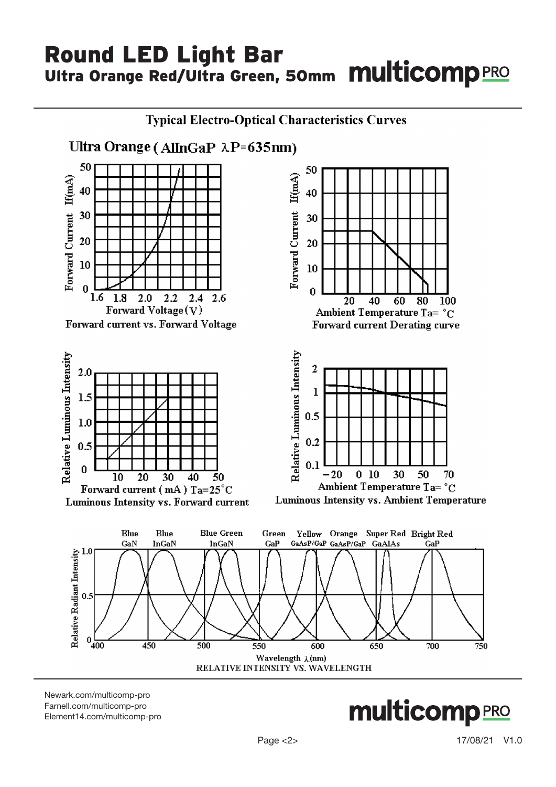## Round LED Light Bar Ultra Orange Red/Ultra Green, 50mm **Multicomp** PRO



[Newark.com/multicomp-](https://www.newark.com/multicomp-pro)pro [Farnell.com/multicomp](https://www.farnell.com/multicomp-pro)-pro [Element14.com/multicomp-pro](https://element14.com/multicomp-pro)

**multicomp**PRO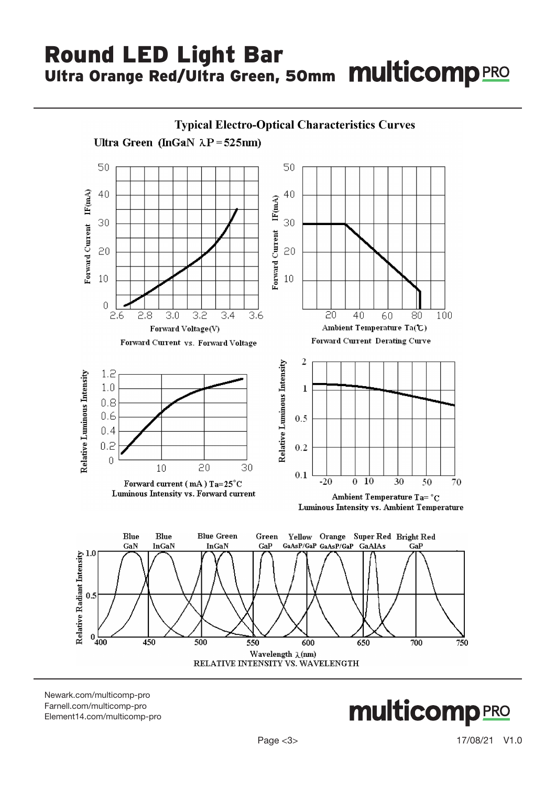# Round LED Light Bar Ultra Orange Red/Ultra Green, 50mm **multicomp** PRO



[Newark.com/multicomp-](https://www.newark.com/multicomp-pro)pro [Farnell.com/multicomp](https://www.farnell.com/multicomp-pro)-pro [Element14.com/multicomp-pro](https://element14.com/multicomp-pro)